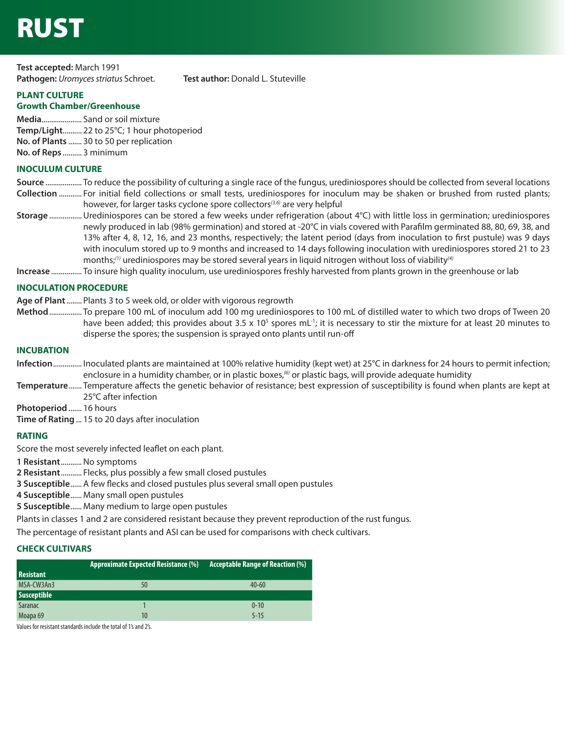

**Test accepted:** March 1991 **Pathogen:** *Uromyces striatus* Schroet. **Test author:** Donald L. Stuteville

## **PLANT CULTURE**

## **Growth Chamber/Greenhouse**

**Media**..................... Sand or soil mixture **Temp/Light**.......... 22 to 25°C; 1 hour photoperiod **No. of Plants** ....... 30 to 50 per replication **No. of Reps** .......... 3 minimum

### **INOCULUM CULTURE**

**Source** ................... To reduce the possibility of culturing a single race of the fungus, urediniospores should be collected from several locations **Collection** ............ For initial field collections or small tests, urediniospores for inoculum may be shaken or brushed from rusted plants; however, for larger tasks cyclone spore collectors*(3,6)* are very helpful

- **Storage** ................. Urediniospores can be stored a few weeks under refrigeration (about 4°C) with little loss in germination; urediniospores newly produced in lab (98% germination) and stored at -20°C in vials covered with Parafilm germinated 88, 80, 69, 38, and 13% after 4, 8, 12, 16, and 23 months, respectively; the latent period (days from inoculation to first pustule) was 9 days with inoculum stored up to 9 months and increased to 14 days following inoculation with urediniospores stored 21 to 23 months;*(1)* urediniospores may be stored several years in liquid nitrogen without loss of viability*(4)*
- **Increase** ................ To insure high quality inoculum, use urediniospores freshly harvested from plants grown in the greenhouse or lab

### **INOCULATION PROCEDURE**

**Age of Plant**........ Plants 3 to 5 week old, or older with vigorous regrowth

**Method** ................. To prepare 100 mL of inoculum add 100 mg urediniospores to 100 mL of distilled water to which two drops of Tween 20 have been added; this provides about 3.5 x 10<sup>5</sup> spores mL<sup>-1</sup>; it is necessary to stir the mixture for at least 20 minutes to disperse the spores; the suspension is sprayed onto plants until run-off

## **INCUBATION**

- **Infection** ............... Inoculated plants are maintained at 100% relative humidity (kept wet) at 25°C in darkness for 24 hours to permit infection; enclosure in a humidity chamber, or in plastic boxes,*(6)* or plastic bags, will provide adequate humidity
- **Temperature** ....... Temperature affects the genetic behavior of resistance; best expression of susceptibility is found when plants are kept at 25°C after infection

**Photoperiod**....... 16 hours

**Time of Rating** ... 15 to 20 days after inoculation

## **RATING**

Score the most severely infected leaflet on each plant.

**1 Resistant**...........No symptoms

**2 Resistant**........... Flecks, plus possibly a few small closed pustules

- **3 Susceptible**...... A few flecks and closed pustules plus several small open pustules
- **4 Susceptible**...... Many small open pustules

**5 Susceptible**...... Many medium to large open pustules

Plants in classes 1 and 2 are considered resistant because they prevent reproduction of the rust fungus.

The percentage of resistant plants and ASI can be used for comparisons with check cultivars.

## **CHECK CULTIVARS**

| <b>Resistant</b>   | <b>Approximate Expected Resistance (%)</b> | <b>Acceptable Range of Reaction (%)</b> |
|--------------------|--------------------------------------------|-----------------------------------------|
| MSA-CW3An3         | 50                                         | $40 - 60$                               |
| <b>Susceptible</b> |                                            |                                         |
| <b>Saranac</b>     |                                            | $0 - 10$                                |
| Moapa 69           | 10                                         | $5 - 15$                                |

Values for resistant standards include the total of 1's and 2's.